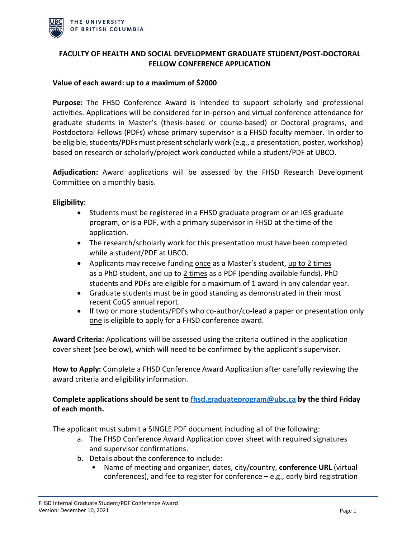

## **FACULTY OF HEALTH AND SOCIAL DEVELOPMENT GRADUATE STUDENT/POST-DOCTORAL FELLOW CONFERENCE APPLICATION**

### **Value of each award: up to a maximum of \$2000**

**Purpose:** The FHSD Conference Award is intended to support scholarly and professional activities. Applications will be considered for in-person and virtual conference attendance for graduate students in Master's (thesis-based or course-based) or Doctoral programs, and Postdoctoral Fellows (PDFs) whose primary supervisor is a FHSD faculty member. In order to be eligible, students/PDFs must present scholarly work (e.g., a presentation, poster, workshop) based on research or scholarly/project work conducted while a student/PDF at UBCO.

**Adjudication:** Award applications will be assessed by the FHSD Research Development Committee on a monthly basis.

#### **Eligibility:**

- Students must be registered in a FHSD graduate program or an IGS graduate program, or is a PDF, with a primary supervisor in FHSD at the time of the application.
- The research/scholarly work for this presentation must have been completed while a student/PDF at UBCO.
- Applicants may receive funding once as a Master's student, up to 2 times as a PhD student, and up to 2 times as a PDF (pending available funds). PhD students and PDFs are eligible for a maximum of 1 award in any calendar year.
- Graduate students must be in good standing as demonstrated in their most recent CoGS annual report.
- If two or more students/PDFs who co-author/co-lead a paper or presentation only one is eligible to apply for a FHSD conference award.

**Award Criteria:** Applications will be assessed using the criteria outlined in the application cover sheet (see below), which will need to be confirmed by the applicant's supervisor.

**How to Apply:** Complete a FHSD Conference Award Application after carefully reviewing the award criteria and eligibility information.

# **Complete applications should be sent to [fhsd.graduateprogram@ubc.ca](mailto:fhsd.graduateprogram@ubc.ca) by the third Friday of each month.**

The applicant must submit a SINGLE PDF document including all of the following:

- a. The FHSD Conference Award Application cover sheet with required signatures and supervisor confirmations.
- b. Details about the conference to include:
	- Name of meeting and organizer, dates, city/country, **conference URL** (virtual conferences), and fee to register for conference – e.g., early bird registration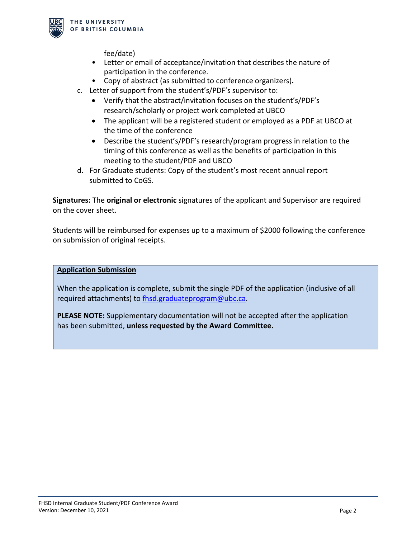

fee/date)

- Letter or email of acceptance/invitation that describes the nature of participation in the conference.
- Copy of abstract (as submitted to conference organizers)**.**
- c. Letter of support from the student's/PDF's supervisor to:
	- Verify that the abstract/invitation focuses on the student's/PDF's research/scholarly or project work completed at UBCO
	- The applicant will be a registered student or employed as a PDF at UBCO at the time of the conference
	- Describe the student's/PDF's research/program progress in relation to the timing of this conference as well as the benefits of participation in this meeting to the student/PDF and UBCO
- d. For Graduate students: Copy of the student's most recent annual report submitted to CoGS.

**Signatures:** The **original or electronic** signatures of the applicant and Supervisor are required on the cover sheet.

Students will be reimbursed for expenses up to a maximum of \$2000 following the conference on submission of original receipts.

### **Application Submission**

When the application is complete, submit the single PDF of the application (inclusive of all required attachments) to [fhsd.graduateprogram@ubc.ca.](mailto:fhsd.graduateprogram@ubc.ca)

**PLEASE NOTE:** Supplementary documentation will not be accepted after the application has been submitted, **unless requested by the Award Committee.**